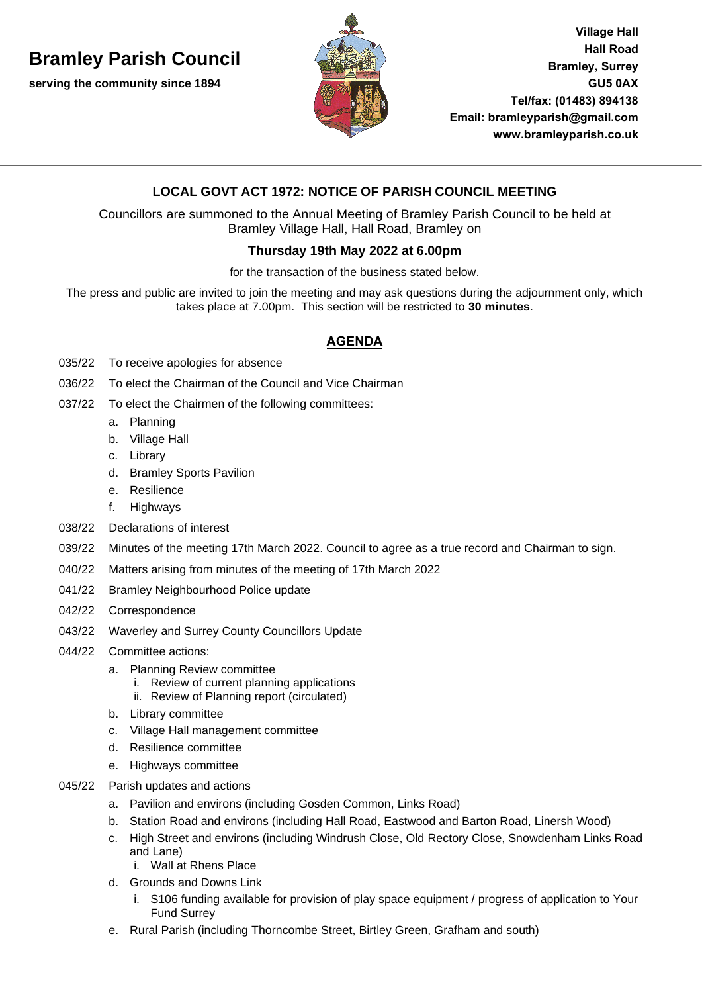# **Bramley Parish Council**

**serving the community since 1894**



**Village Hall Hall Road Bramley, Surrey GU5 0AX Tel/fax: (01483) 894138 Email: [bramleyparish@gmail.com](mailto:bramleyparish@gmail.com) [www.bramleyparish.co.uk](http://www.bramleyparish.co.uk/)**

## **LOCAL GOVT ACT 1972: NOTICE OF PARISH COUNCIL MEETING**

Councillors are summoned to the Annual Meeting of Bramley Parish Council to be held at Bramley Village Hall, Hall Road, Bramley on

### **Thursday 19th May 2022 at 6.00pm**

for the transaction of the business stated below.

The press and public are invited to join the meeting and may ask questions during the adjournment only, which takes place at 7.00pm. This section will be restricted to **30 minutes**.

### **AGENDA**

- 035/22 To receive apologies for absence
- 036/22 To elect the Chairman of the Council and Vice Chairman
- 037/22 To elect the Chairmen of the following committees:
	- a. Planning
	- b. Village Hall
	- c. Library
	- d. Bramley Sports Pavilion
	- e. Resilience
	- f. Highways
- 038/22 Declarations of interest
- 039/22 Minutes of the meeting 17th March 2022. Council to agree as a true record and Chairman to sign.
- 040/22 Matters arising from minutes of the meeting of 17th March 2022
- 041/22 Bramley Neighbourhood Police update
- 042/22 Correspondence
- 043/22 Waverley and Surrey County Councillors Update
- 044/22 Committee actions:
	- a. Planning Review committee
		- i. Review of current planning applications
		- ii. Review of Planning report (circulated)
	- b. Library committee
	- c. Village Hall management committee
	- d. Resilience committee
	- e. Highways committee
- 045/22 Parish updates and actions
	- a. Pavilion and environs (including Gosden Common, Links Road)
	- b. Station Road and environs (including Hall Road, Eastwood and Barton Road, Linersh Wood)
	- c. High Street and environs (including Windrush Close, Old Rectory Close, Snowdenham Links Road and Lane)
		- i. Wall at Rhens Place
	- d. Grounds and Downs Link
		- i. S106 funding available for provision of play space equipment / progress of application to Your Fund Surrey
	- e. Rural Parish (including Thorncombe Street, Birtley Green, Grafham and south)